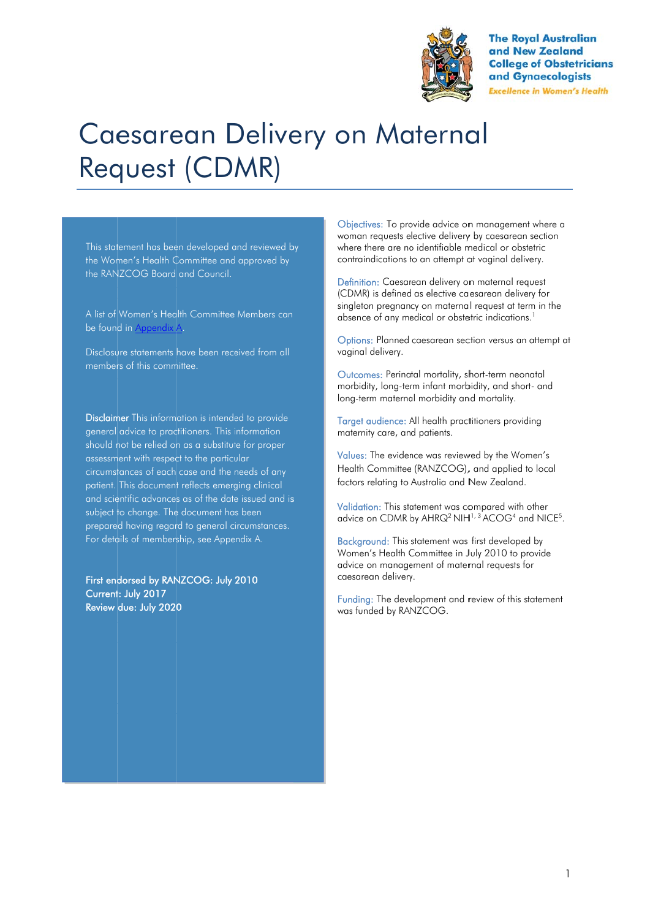

**The Royal Australian** and New Zealand **College of Obstetricians** and Gynaecologists **Excellence in Women's Health** 

# Caesarean Delivery on Maternal Request (CDMR)

This statement has been developed and reviewed by the Wom men's Health C Committee and approved by the RAN NZCOG Board and Council.

A list of Women's Health Committee Members can be found in <u>Appendix A</u>.

Disclosure statements have been received from all members of this committee.

Disclaimer This information is intended to provide general advice to practitioners. This information should n not be relied o n as a substitut te for proper assessment with respect to the particular circumstances of each case and the needs of any patient. This document reflects emerging clinical and scientific advances as of the date issued and is subject to change. The document has been prepared having regard to general circumstances. For details of membership, see Appendix A.

First endorsed by RANZCOG: July 2010 Current: July 2017 Review due: July 202 0

Objectives: To provide advice on management where a woman requests elective delivery by caesarean section where there are no identifiable medical or obstetric contraindications to an attempt at vaginal delivery.

Definition: Caesarean delivery on maternal request (CD DMR) is defined as elective ca esarean delive ry for singleton pregnancy on maternal request at term in the absence of any medical or obstetric indications.<sup>1</sup>

Options: Planned caesarean section versus an attempt at vag inal delivery.

Outcomes: Perinatal mortality, short-term neonatal morbidity, long-term infant morbidity, and short- and long-term maternal morbidity and mortality.

Target audience: All health practitioners providing maternity care, and patients.

Values: The evidence was reviewed by the Women's Health Committee (RANZCOG), and applied to local fact ors relating to Australia and N New Zealand.

Validation: This statement was compared with other advice on CDMR by AHRQ<sup>2</sup> NIH<sup>1, 3</sup> ACOG<sup>4</sup> and NICE<sup>5</sup>.

Background: This statement was first developed by Women's Health Committee in July 2010 to provide advice on management of maternal requests for caesarean delivery.

Funding: The development and review of this statement was s funded by RA NZCOG.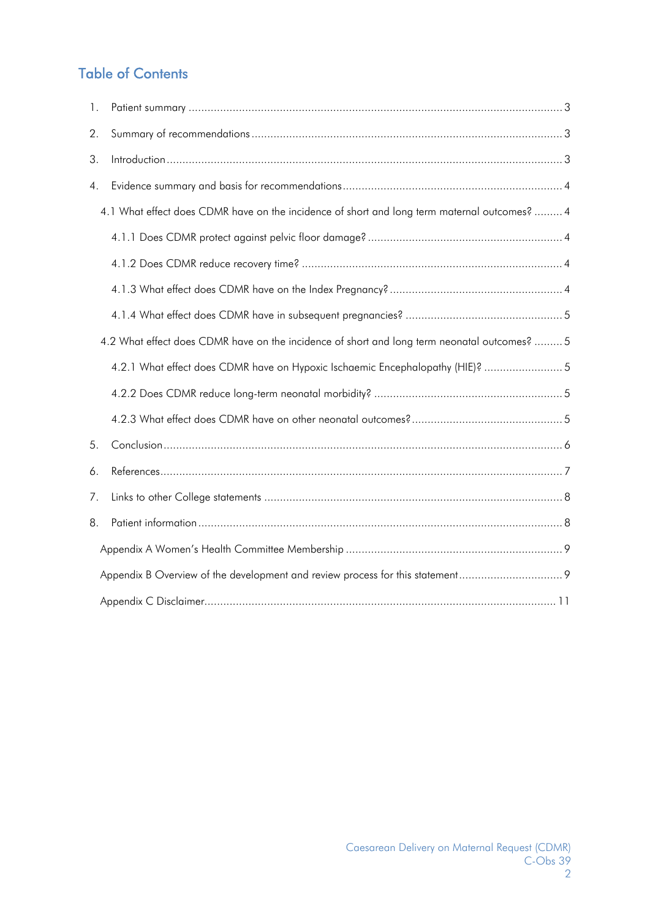# Table of Contents

| 1. |                                                                                              |  |  |  |  |
|----|----------------------------------------------------------------------------------------------|--|--|--|--|
| 2. |                                                                                              |  |  |  |  |
| 3. |                                                                                              |  |  |  |  |
| 4. |                                                                                              |  |  |  |  |
|    | 4.1 What effect does CDMR have on the incidence of short and long term maternal outcomes?  4 |  |  |  |  |
|    |                                                                                              |  |  |  |  |
|    |                                                                                              |  |  |  |  |
|    |                                                                                              |  |  |  |  |
|    |                                                                                              |  |  |  |  |
|    | 4.2 What effect does CDMR have on the incidence of short and long term neonatal outcomes?  5 |  |  |  |  |
|    | 4.2.1 What effect does CDMR have on Hypoxic Ischaemic Encephalopathy (HIE)?  5               |  |  |  |  |
|    |                                                                                              |  |  |  |  |
|    |                                                                                              |  |  |  |  |
| 5. |                                                                                              |  |  |  |  |
| 6. |                                                                                              |  |  |  |  |
| 7. |                                                                                              |  |  |  |  |
| 8. |                                                                                              |  |  |  |  |
|    |                                                                                              |  |  |  |  |
|    |                                                                                              |  |  |  |  |
|    |                                                                                              |  |  |  |  |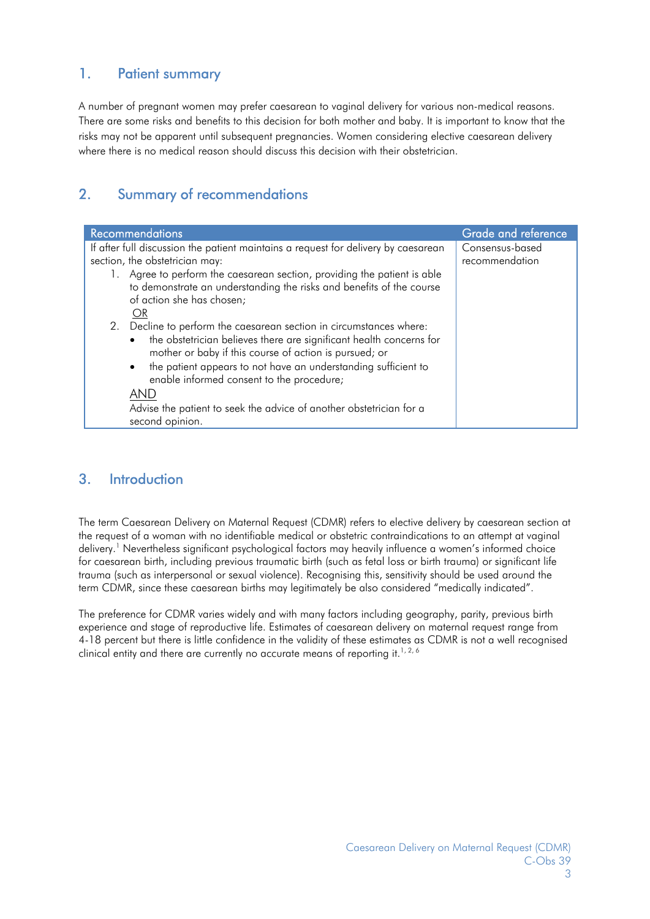## 1. Patient summary

A number of pregnant women may prefer caesarean to vaginal delivery for various non-medical reasons. There are some risks and benefits to this decision for both mother and baby. It is important to know that the risks may not be apparent until subsequent pregnancies. Women considering elective caesarean delivery where there is no medical reason should discuss this decision with their obstetrician.

## 2. Summary of recommendations

| <b>Recommendations</b>                                                             | Grade and reference |
|------------------------------------------------------------------------------------|---------------------|
| If after full discussion the patient maintains a request for delivery by caesarean | Consensus-based     |
| section, the obstetrician may:                                                     | recommendation      |
| 1. Agree to perform the caesarean section, providing the patient is able           |                     |
| to demonstrate an understanding the risks and benefits of the course               |                     |
| of action she has chosen;                                                          |                     |
| OR                                                                                 |                     |
| 2. Decline to perform the caesarean section in circumstances where:                |                     |
| the obstetrician believes there are significant health concerns for<br>$\bullet$   |                     |
| mother or baby if this course of action is pursued; or                             |                     |
| • the patient appears to not have an understanding sufficient to                   |                     |
| enable informed consent to the procedure;                                          |                     |
|                                                                                    |                     |
| AND                                                                                |                     |
| Advise the patient to seek the advice of another obstetrician for a                |                     |
| second opinion.                                                                    |                     |

## 3. Introduction

The term Caesarean Delivery on Maternal Request (CDMR) refers to elective delivery by caesarean section at the request of a woman with no identifiable medical or obstetric contraindications to an attempt at vaginal delivery.<sup>1</sup> Nevertheless significant psychological factors may heavily influence a women's informed choice for caesarean birth, including previous traumatic birth (such as fetal loss or birth trauma) or significant life trauma (such as interpersonal or sexual violence). Recognising this, sensitivity should be used around the term CDMR, since these caesarean births may legitimately be also considered "medically indicated".

The preference for CDMR varies widely and with many factors including geography, parity, previous birth experience and stage of reproductive life. Estimates of caesarean delivery on maternal request range from 4-18 percent but there is little confidence in the validity of these estimates as CDMR is not a well recognised clinical entity and there are currently no accurate means of reporting it.<sup>1,2,6</sup>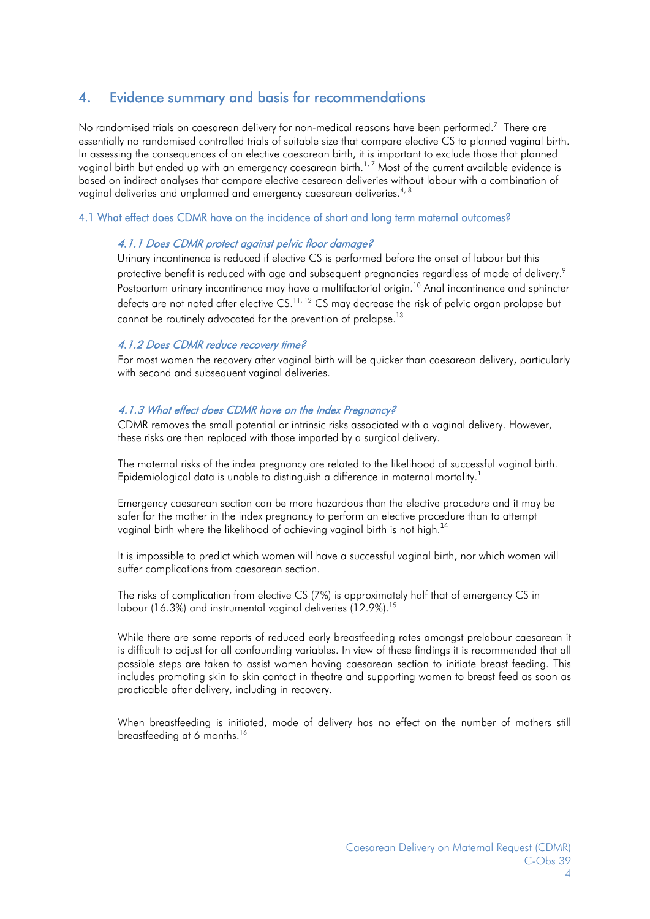### 4. Evidence summary and basis for recommendations

No randomised trials on caesarean delivery for non-medical reasons have been performed.<sup>7</sup> There are essentially no randomised controlled trials of suitable size that compare elective CS to planned vaginal birth. In assessing the consequences of an elective caesarean birth, it is important to exclude those that planned vaginal birth but ended up with an emergency caesarean birth.<sup>1,7</sup> Most of the current available evidence is based on indirect analyses that compare elective cesarean deliveries without labour with a combination of vaginal deliveries and unplanned and emergency caesarean deliveries.<sup>4, 8</sup>

#### 4.1 What effect does CDMR have on the incidence of short and long term maternal outcomes?

#### 4.1.1 Does CDMR protect against pelvic floor damage?

Urinary incontinence is reduced if elective CS is performed before the onset of labour but this protective benefit is reduced with age and subsequent pregnancies regardless of mode of delivery.<sup>9</sup> Postpartum urinary incontinence may have a multifactorial origin.<sup>10</sup> Anal incontinence and sphincter defects are not noted after elective CS.<sup>11, 12</sup> CS may decrease the risk of pelvic organ prolapse but cannot be routinely advocated for the prevention of prolapse.<sup>13</sup>

#### 4.1.2 Does CDMR reduce recovery time?

For most women the recovery after vaginal birth will be quicker than caesarean delivery, particularly with second and subsequent vaginal deliveries.

#### 4.1.3 What effect does CDMR have on the Index Pregnancy?

CDMR removes the small potential or intrinsic risks associated with a vaginal delivery. However, these risks are then replaced with those imparted by a surgical delivery.

The maternal risks of the index pregnancy are related to the likelihood of successful vaginal birth. Epidemiological data is unable to distinguish a difference in maternal mortality.<sup>1</sup>

Emergency caesarean section can be more hazardous than the elective procedure and it may be safer for the mother in the index pregnancy to perform an elective procedure than to attempt vaginal birth where the likelihood of achieving vaginal birth is not high.<sup>14</sup>

It is impossible to predict which women will have a successful vaginal birth, nor which women will suffer complications from caesarean section.

The risks of complication from elective CS (7%) is approximately half that of emergency CS in labour (16.3%) and instrumental vaginal deliveries (12.9%).<sup>15</sup>

While there are some reports of reduced early breastfeeding rates amongst prelabour caesarean it is difficult to adjust for all confounding variables. In view of these findings it is recommended that all possible steps are taken to assist women having caesarean section to initiate breast feeding. This includes promoting skin to skin contact in theatre and supporting women to breast feed as soon as practicable after delivery, including in recovery.

When breastfeeding is initiated, mode of delivery has no effect on the number of mothers still breastfeeding at 6 months.<sup>16</sup>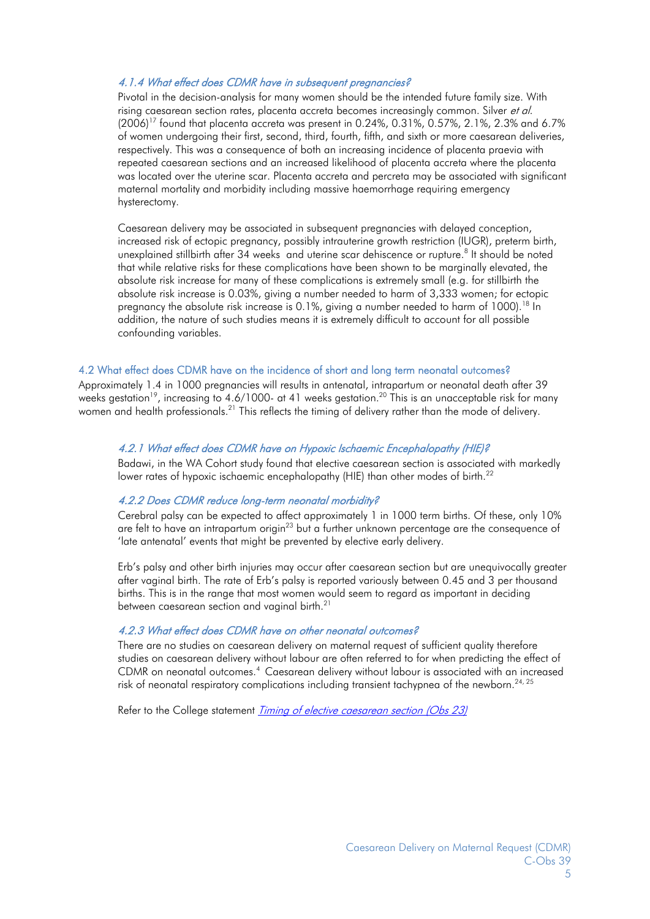#### 4.1.4 What effect does CDMR have in subsequent pregnancies?

Pivotal in the decision-analysis for many women should be the intended future family size. With rising caesarean section rates, placenta accreta becomes increasinaly common. Silver *et al.*  $(2006)^{17}$  found that placenta accreta was present in 0.24%, 0.31%, 0.57%, 2.1%, 2.3% and 6.7% of women undergoing their first, second, third, fourth, fifth, and sixth or more caesarean deliveries, respectively. This was a consequence of both an increasing incidence of placenta praevia with repeated caesarean sections and an increased likelihood of placenta accreta where the placenta was located over the uterine scar. Placenta accreta and percreta may be associated with significant maternal mortality and morbidity including massive haemorrhage requiring emergency hysterectomy.

Caesarean delivery may be associated in subsequent pregnancies with delayed conception, increased risk of ectopic pregnancy, possibly intrauterine growth restriction (IUGR), preterm birth, unexplained stillbirth after 34 weeks and uterine scar dehiscence or rupture.<sup>8</sup> It should be noted that while relative risks for these complications have been shown to be marginally elevated, the absolute risk increase for many of these complications is extremely small (e.g. for stillbirth the absolute risk increase is 0.03%, giving a number needed to harm of 3,333 women; for ectopic pregnancy the absolute risk increase is 0.1%, giving a number needed to harm of 1000).<sup>18</sup> In addition, the nature of such studies means it is extremely difficult to account for all possible confounding variables.

#### 4.2 What effect does CDMR have on the incidence of short and long term neonatal outcomes?

Approximately 1.4 in 1000 pregnancies will results in antenatal, intrapartum or neonatal death after 39 weeks gestation<sup>19</sup>, increasing to 4.6/1000- at 41 weeks gestation.<sup>20</sup> This is an unacceptable risk for many women and health professionals.<sup>21</sup> This reflects the timing of delivery rather than the mode of delivery.

#### 4.2.1 What effect does CDMR have on Hypoxic Ischaemic Encephalopathy (HIE)?

Badawi, in the WA Cohort study found that elective caesarean section is associated with markedly lower rates of hypoxic ischaemic encephalopathy (HIE) than other modes of birth.<sup>22</sup>

#### 4.2.2 Does CDMR reduce long-term neonatal morbidity?

Cerebral palsy can be expected to affect approximately 1 in 1000 term births. Of these, only 10% are felt to have an intrapartum origin<sup>23</sup> but a further unknown percentage are the consequence of 'late antenatal' events that might be prevented by elective early delivery.

Erb's palsy and other birth injuries may occur after caesarean section but are unequivocally greater after vaginal birth. The rate of Erb's palsy is reported variously between 0.45 and 3 per thousand births. This is in the range that most women would seem to regard as important in deciding between caesarean section and vaginal birth.<sup>21</sup>

#### 4.2.3 What effect does CDMR have on other neonatal outcomes?

There are no studies on caesarean delivery on maternal request of sufficient quality therefore studies on caesarean delivery without labour are often referred to for when predicting the effect of CDMR on neonatal outcomes.4 Caesarean delivery without labour is associated with an increased risk of neonatal respiratory complications including transient tachypnea of the newborn.<sup>24, 25</sup>

Refer to the College statement Timing of elective caesarean section (Obs 23)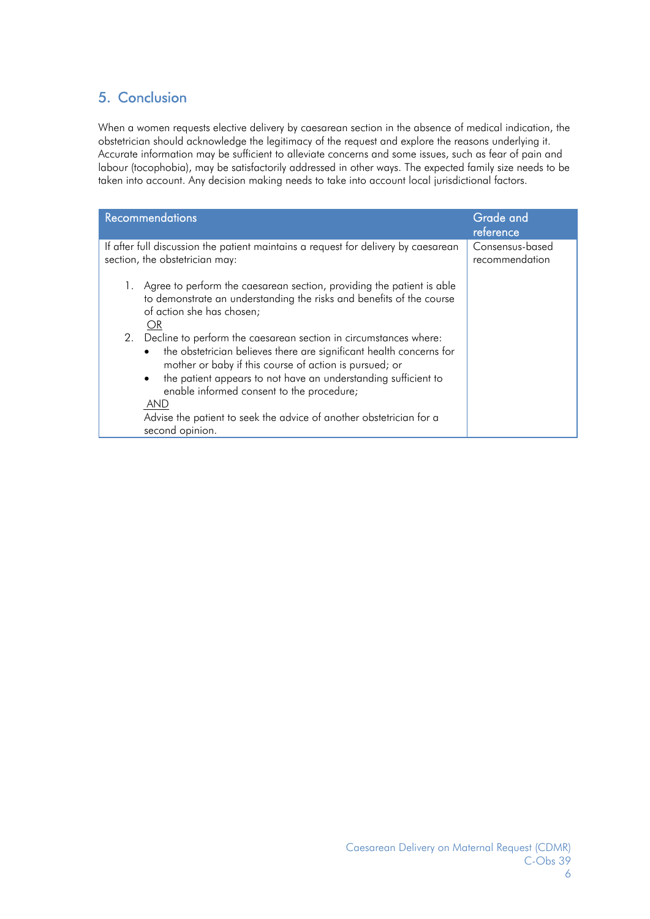# 5. Conclusion

When a women requests elective delivery by caesarean section in the absence of medical indication, the obstetrician should acknowledge the legitimacy of the request and explore the reasons underlying it. Accurate information may be sufficient to alleviate concerns and some issues, such as fear of pain and labour (tocophobia), may be satisfactorily addressed in other ways. The expected family size needs to be taken into account. Any decision making needs to take into account local jurisdictional factors.

| <b>Recommendations</b>                                                                                                                                                                                                                                                                                                                                                                                                               | Grade and<br>reference            |
|--------------------------------------------------------------------------------------------------------------------------------------------------------------------------------------------------------------------------------------------------------------------------------------------------------------------------------------------------------------------------------------------------------------------------------------|-----------------------------------|
| If after full discussion the patient maintains a request for delivery by caesarean<br>section, the obstetrician may:                                                                                                                                                                                                                                                                                                                 | Consensus-based<br>recommendation |
| Agree to perform the caesarean section, providing the patient is able<br>to demonstrate an understanding the risks and benefits of the course<br>of action she has chosen;<br>OR.                                                                                                                                                                                                                                                    |                                   |
| Decline to perform the caesarean section in circumstances where:<br>2.<br>the obstetrician believes there are significant health concerns for<br>$\bullet$<br>mother or baby if this course of action is pursued; or<br>the patient appears to not have an understanding sufficient to<br>enable informed consent to the procedure;<br>AND<br>Advise the patient to seek the advice of another obstetrician for a<br>second opinion. |                                   |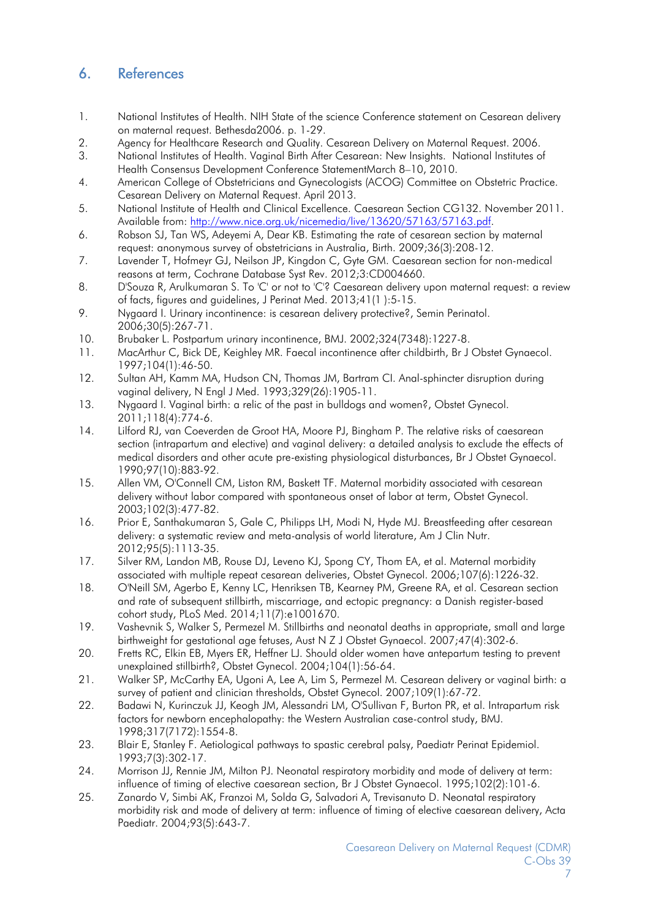## 6. References

- 1. National Institutes of Health. NIH State of the science Conference statement on Cesarean delivery on maternal request. Bethesda2006. p. 1-29.
- 2. Agency for Healthcare Research and Quality. Cesarean Delivery on Maternal Request. 2006.
- 3. National Institutes of Health. Vaginal Birth After Cesarean: New Insights. National Institutes of Health Consensus Development Conference StatementMarch 8–10, 2010.
- 4. American College of Obstetricians and Gynecologists (ACOG) Committee on Obstetric Practice. Cesarean Delivery on Maternal Request. April 2013.
- 5. National Institute of Health and Clinical Excellence. Caesarean Section CG132. November 2011. Available from: http://www.nice.org.uk/nicemedia/live/13620/57163/57163.pdf.
- 6. Robson SJ, Tan WS, Adeyemi A, Dear KB. Estimating the rate of cesarean section by maternal request: anonymous survey of obstetricians in Australia, Birth. 2009;36(3):208-12.
- 7. Lavender T, Hofmeyr GJ, Neilson JP, Kingdon C, Gyte GM. Caesarean section for non-medical reasons at term, Cochrane Database Syst Rev. 2012;3:CD004660.
- 8. D'Souza R, Arulkumaran S. To 'C' or not to 'C'? Caesarean delivery upon maternal request: a review of facts, figures and guidelines, J Perinat Med. 2013;41(1 ):5-15.
- 9. Nygaard I. Urinary incontinence: is cesarean delivery protective?, Semin Perinatol. 2006;30(5):267-71.
- 10. Brubaker L. Postpartum urinary incontinence, BMJ. 2002;324(7348):1227-8.
- 11. MacArthur C, Bick DE, Keighley MR. Faecal incontinence after childbirth, Br J Obstet Gynaecol. 1997;104(1):46-50.
- 12. Sultan AH, Kamm MA, Hudson CN, Thomas JM, Bartram CI. Anal-sphincter disruption during vaginal delivery, N Engl J Med. 1993;329(26):1905-11.
- 13. Nygaard I. Vaginal birth: a relic of the past in bulldogs and women?, Obstet Gynecol. 2011;118(4):774-6.
- 14. Lilford RJ, van Coeverden de Groot HA, Moore PJ, Bingham P. The relative risks of caesarean section (intrapartum and elective) and vaginal delivery: a detailed analysis to exclude the effects of medical disorders and other acute pre-existing physiological disturbances, Br J Obstet Gynaecol. 1990;97(10):883-92.
- 15. Allen VM, O'Connell CM, Liston RM, Baskett TF. Maternal morbidity associated with cesarean delivery without labor compared with spontaneous onset of labor at term, Obstet Gynecol. 2003;102(3):477-82.
- 16. Prior E, Santhakumaran S, Gale C, Philipps LH, Modi N, Hyde MJ. Breastfeeding after cesarean delivery: a systematic review and meta-analysis of world literature, Am J Clin Nutr. 2012;95(5):1113-35.
- 17. Silver RM, Landon MB, Rouse DJ, Leveno KJ, Spong CY, Thom EA, et al. Maternal morbidity associated with multiple repeat cesarean deliveries, Obstet Gynecol. 2006;107(6):1226-32.
- 18. O'Neill SM, Agerbo E, Kenny LC, Henriksen TB, Kearney PM, Greene RA, et al. Cesarean section and rate of subsequent stillbirth, miscarriage, and ectopic pregnancy: a Danish register-based cohort study, PLoS Med. 2014;11(7):e1001670.
- 19. Vashevnik S, Walker S, Permezel M. Stillbirths and neonatal deaths in appropriate, small and large birthweight for gestational age fetuses, Aust N Z J Obstet Gynaecol. 2007;47(4):302-6.
- 20. Fretts RC, Elkin EB, Myers ER, Heffner LJ. Should older women have antepartum testing to prevent unexplained stillbirth?, Obstet Gynecol. 2004;104(1):56-64.
- 21. Walker SP, McCarthy EA, Ugoni A, Lee A, Lim S, Permezel M. Cesarean delivery or vaginal birth: a survey of patient and clinician thresholds, Obstet Gynecol. 2007;109(1):67-72.
- 22. Badawi N, Kurinczuk JJ, Keogh JM, Alessandri LM, O'Sullivan F, Burton PR, et al. Intrapartum risk factors for newborn encephalopathy: the Western Australian case-control study, BMJ. 1998;317(7172):1554-8.
- 23. Blair E, Stanley F. Aetiological pathways to spastic cerebral palsy, Paediatr Perinat Epidemiol. 1993;7(3):302-17.
- 24. Morrison JJ, Rennie JM, Milton PJ. Neonatal respiratory morbidity and mode of delivery at term: influence of timing of elective caesarean section, Br J Obstet Gynaecol. 1995;102(2):101-6.
- 25. Zanardo V, Simbi AK, Franzoi M, Solda G, Salvadori A, Trevisanuto D. Neonatal respiratory morbidity risk and mode of delivery at term: influence of timing of elective caesarean delivery, Acta Paediatr. 2004;93(5):643-7.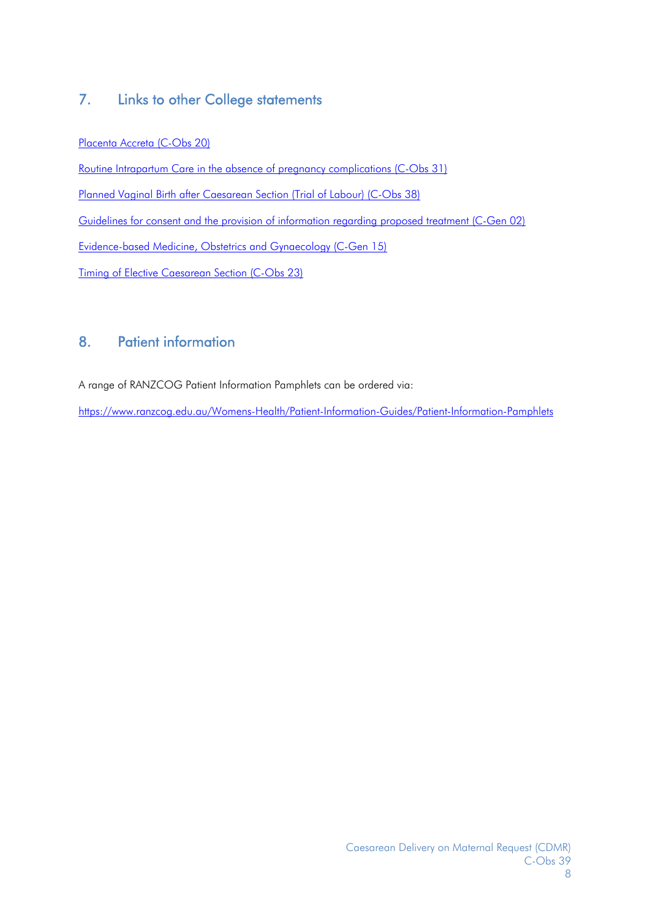## 7. Links to other College statements

Placenta Accreta (C-Obs 20)

Routine Intrapartum Care in the absence of pregnancy complications (C-Obs 31) Planned Vaginal Birth after Caesarean Section (Trial of Labour) (C-Obs 38) Guidelines for consent and the provision of information regarding proposed treatment (C-Gen 02) Evidence-based Medicine, Obstetrics and Gynaecology (C-Gen 15) Timing of Elective Caesarean Section (C-Obs 23)

## 8. Patient information

A range of RANZCOG Patient Information Pamphlets can be ordered via:

https://www.ranzcog.edu.au/Womens-Health/Patient-Information-Guides/Patient-Information-Pamphlets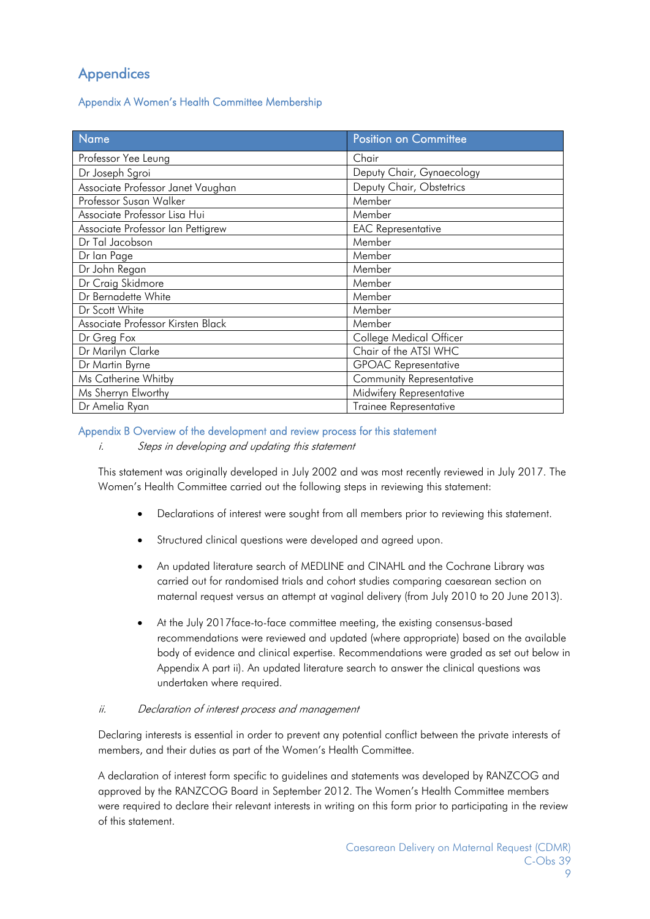# **Appendices**

Appendix A Women's Health Committee Membership

| Name                              | <b>Position on Committee</b>  |
|-----------------------------------|-------------------------------|
| Professor Yee Leung               | Chair                         |
| Dr Joseph Sgroi                   | Deputy Chair, Gynaecology     |
| Associate Professor Janet Vaughan | Deputy Chair, Obstetrics      |
| Professor Susan Walker            | Member                        |
| Associate Professor Lisa Hui      | Member                        |
| Associate Professor Ian Pettigrew | <b>EAC Representative</b>     |
| Dr Tal Jacobson                   | Member                        |
| Dr lan Page                       | Member                        |
| Dr John Regan                     | Member                        |
| Dr Craig Skidmore                 | Member                        |
| Dr Bernadette White               | Member                        |
| Dr Scott White                    | Member                        |
| Associate Professor Kirsten Black | Member                        |
| Dr Greg Fox                       | College Medical Officer       |
| Dr Marilyn Clarke                 | Chair of the ATSI WHC         |
| Dr Martin Byrne                   | <b>GPOAC Representative</b>   |
| Ms Catherine Whitby               | Community Representative      |
| Ms Sherryn Elworthy               | Midwifery Representative      |
| Dr Amelia Ryan                    | <b>Trainee Representative</b> |

#### Appendix B Overview of the development and review process for this statement

i. Steps in developing and updating this statement

This statement was originally developed in July 2002 and was most recently reviewed in July 2017. The Women's Health Committee carried out the following steps in reviewing this statement:

- Declarations of interest were sought from all members prior to reviewing this statement.
- Structured clinical questions were developed and agreed upon.
- An updated literature search of MEDLINE and CINAHL and the Cochrane Library was carried out for randomised trials and cohort studies comparing caesarean section on maternal request versus an attempt at vaginal delivery (from July 2010 to 20 June 2013).
- At the July 2017face-to-face committee meeting, the existing consensus-based recommendations were reviewed and updated (where appropriate) based on the available body of evidence and clinical expertise. Recommendations were graded as set out below in Appendix A part ii). An updated literature search to answer the clinical questions was undertaken where required.

#### ii. Declaration of interest process and management

Declaring interests is essential in order to prevent any potential conflict between the private interests of members, and their duties as part of the Women's Health Committee.

A declaration of interest form specific to guidelines and statements was developed by RANZCOG and approved by the RANZCOG Board in September 2012. The Women's Health Committee members were required to declare their relevant interests in writing on this form prior to participating in the review of this statement.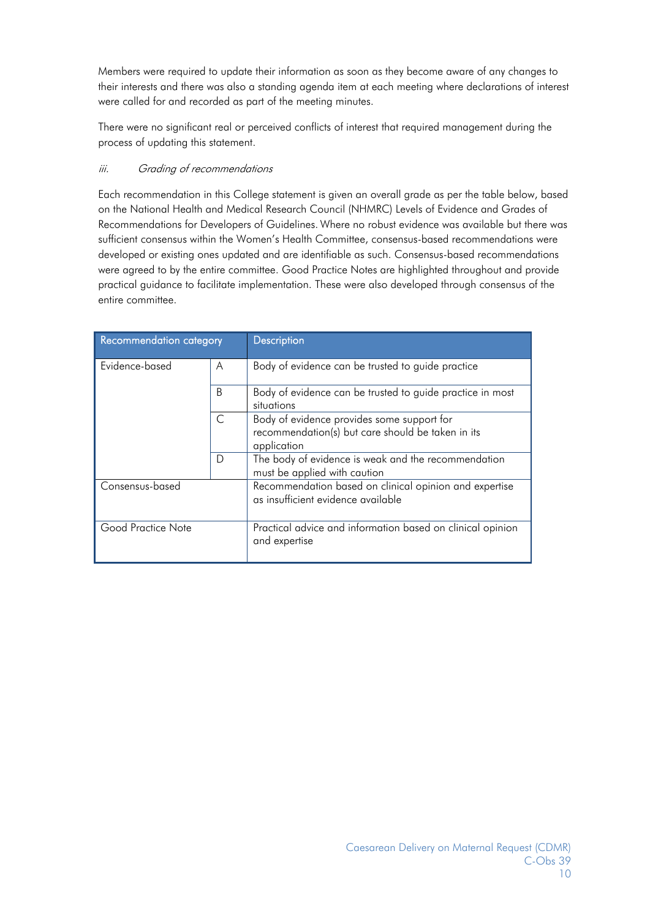Members were required to update their information as soon as they become aware of any changes to their interests and there was also a standing agenda item at each meeting where declarations of interest were called for and recorded as part of the meeting minutes.

There were no significant real or perceived conflicts of interest that required management during the process of updating this statement.

#### iii. Grading of recommendations

Each recommendation in this College statement is given an overall grade as per the table below, based on the National Health and Medical Research Council (NHMRC) Levels of Evidence and Grades of Recommendations for Developers of Guidelines. Where no robust evidence was available but there was sufficient consensus within the Women's Health Committee, consensus-based recommendations were developed or existing ones updated and are identifiable as such. Consensus-based recommendations were agreed to by the entire committee. Good Practice Notes are highlighted throughout and provide practical guidance to facilitate implementation. These were also developed through consensus of the entire committee.

| Recommendation category |   | Description                                                                                                    |
|-------------------------|---|----------------------------------------------------------------------------------------------------------------|
| Evidence-based          | A | Body of evidence can be trusted to guide practice                                                              |
|                         | B | Body of evidence can be trusted to guide practice in most<br>situations                                        |
|                         | C | Body of evidence provides some support for<br>recommendation(s) but care should be taken in its<br>application |
|                         | D | The body of evidence is weak and the recommendation<br>must be applied with caution                            |
| Consensus-based         |   | Recommendation based on clinical opinion and expertise<br>as insufficient evidence available                   |
| Good Practice Note      |   | Practical advice and information based on clinical opinion<br>and expertise                                    |